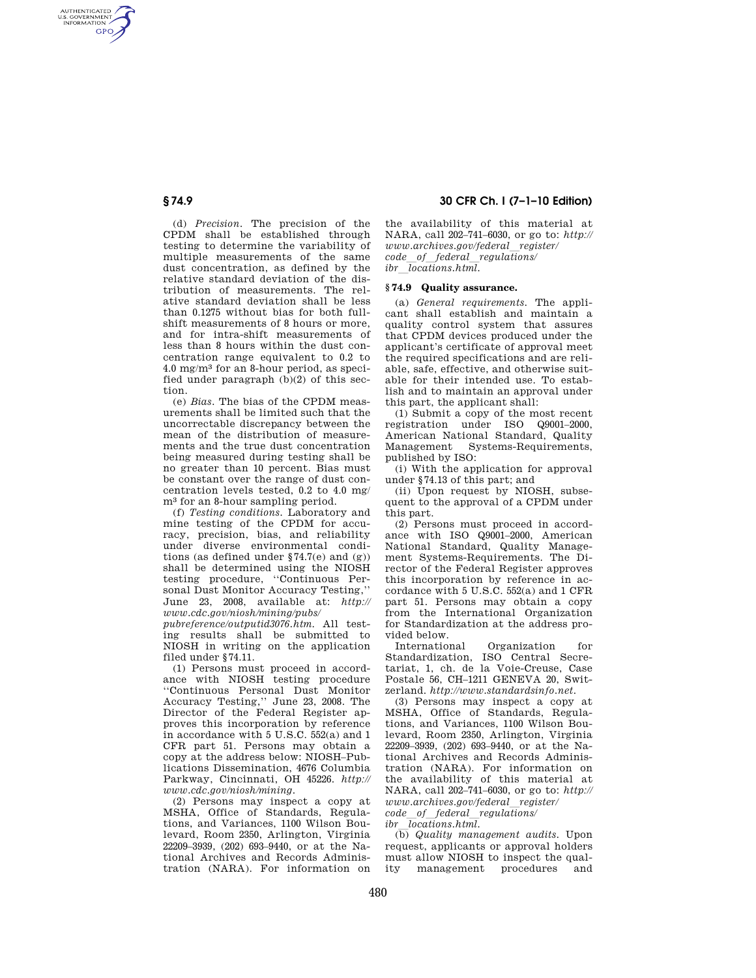AUTHENTICATED<br>U.S. GOVERNMENT<br>INFORMATION **GPO** 

> (d) *Precision.* The precision of the CPDM shall be established through testing to determine the variability of multiple measurements of the same dust concentration, as defined by the relative standard deviation of the distribution of measurements. The relative standard deviation shall be less than 0.1275 without bias for both fullshift measurements of 8 hours or more, and for intra-shift measurements of less than 8 hours within the dust concentration range equivalent to 0.2 to 4.0 mg/m3 for an 8-hour period, as specified under paragraph  $(b)(2)$  of this section.

(e) *Bias.* The bias of the CPDM measurements shall be limited such that the uncorrectable discrepancy between the mean of the distribution of measurements and the true dust concentration being measured during testing shall be no greater than 10 percent. Bias must be constant over the range of dust concentration levels tested, 0.2 to 4.0 mg/ m3 for an 8-hour sampling period.

(f) *Testing conditions.* Laboratory and mine testing of the CPDM for accuracy, precision, bias, and reliability under diverse environmental conditions (as defined under  $$74.7(e)$  and  $(g)$ ) shall be determined using the NIOSH testing procedure, ''Continuous Personal Dust Monitor Accuracy Testing,'' June 23, 2008, available at: *http:// www.cdc.gov/niosh/mining/pubs/* 

*pubreference/outputid3076.htm*. All testing results shall be submitted to NIOSH in writing on the application filed under §74.11.

(1) Persons must proceed in accordance with NIOSH testing procedure ''Continuous Personal Dust Monitor Accuracy Testing,'' June 23, 2008. The Director of the Federal Register approves this incorporation by reference in accordance with 5 U.S.C. 552(a) and 1 CFR part 51. Persons may obtain a copy at the address below: NIOSH–Publications Dissemination, 4676 Columbia Parkway, Cincinnati, OH 45226. *http:// www.cdc.gov/niosh/mining*.

(2) Persons may inspect a copy at MSHA, Office of Standards, Regulations, and Variances, 1100 Wilson Boulevard, Room 2350, Arlington, Virginia 22209–3939, (202) 693–9440, or at the National Archives and Records Administration (NARA). For information on

**§ 74.9 30 CFR Ch. I (7–1–10 Edition)** 

the availability of this material at NARA, call 202–741–6030, or go to: *http:// www.archives.gov/federal*l*register/ code*l*of*l*federal*l*regulations/ ibr*l*locations.html.* 

### **§ 74.9 Quality assurance.**

(a) *General requirements.* The applicant shall establish and maintain a quality control system that assures that CPDM devices produced under the applicant's certificate of approval meet the required specifications and are reliable, safe, effective, and otherwise suitable for their intended use. To establish and to maintain an approval under this part, the applicant shall:

(1) Submit a copy of the most recent registration under ISO Q9001–2000, American National Standard, Quality Management Systems-Requirements, published by ISO:

(i) With the application for approval under §74.13 of this part; and

(ii) Upon request by NIOSH, subsequent to the approval of a CPDM under this part.

(2) Persons must proceed in accordance with ISO Q9001–2000, American National Standard, Quality Management Systems-Requirements. The Director of the Federal Register approves this incorporation by reference in accordance with 5 U.S.C. 552(a) and 1 CFR part 51. Persons may obtain a copy from the International Organization for Standardization at the address provided below.

International Organization for Standardization, ISO Central Secretariat, 1, ch. de la Voie-Creuse, Case Postale 56, CH–1211 GENEVA 20, Switzerland. *http://www.standardsinfo.net*.

(3) Persons may inspect a copy at MSHA, Office of Standards, Regulations, and Variances, 1100 Wilson Boulevard, Room 2350, Arlington, Virginia 22209–3939, (202) 693–9440, or at the National Archives and Records Administration (NARA). For information on the availability of this material at NARA, call 202–741–6030, or go to: *http:// www.archives.gov/federal*l*register/ code*l*of*l*federal*l*regulations/* 

*ibr*l*locations.html.* 

(b) *Quality management audits.* Upon request, applicants or approval holders must allow NIOSH to inspect the quality management procedures and